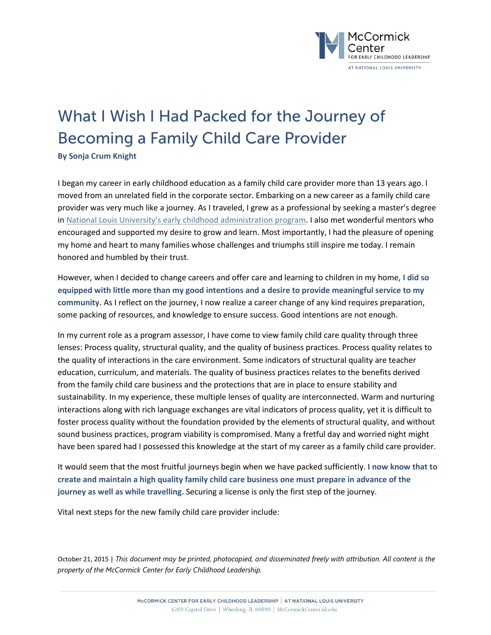

## What I Wish I Had Packed for the Journey of Becoming a Family Child Care Provider

**By Sonja Crum Knight**

I began my career in early childhood education as a family child care provider more than 13 years ago. I moved from an unrelated field in the corporate sector. Embarking on a new career as a family child care provider was very much like a journey. As I traveled, I grew as a professional by seeking a master's degree in [National Louis University's early childhood administration program.](http://www.nl.edu/academics/educationmastersadvanceded/earlychildhoodadministration/) I also met wonderful mentors who encouraged and supported my desire to grow and learn. Most importantly, I had the pleasure of opening my home and heart to many families whose challenges and triumphs still inspire me today. I remain honored and humbled by their trust.

However, when I decided to change careers and offer care and learning to children in my home, **I did so equipped with little more than my good intentions and a desire to provide meaningful service to my community.** As I reflect on the journey, I now realize a career change of any kind requires preparation, some packing of resources, and knowledge to ensure success. Good intentions are not enough.

In my current role as a program assessor, I have come to view family child care quality through three lenses: Process quality, structural quality, and the quality of business practices. Process quality relates to the quality of interactions in the care environment. Some indicators of structural quality are teacher education, curriculum, and materials. The quality of business practices relates to the benefits derived from the family child care business and the protections that are in place to ensure stability and sustainability. In my experience, these multiple lenses of quality are interconnected. Warm and nurturing interactions along with rich language exchanges are vital indicators of process quality, yet it is difficult to foster process quality without the foundation provided by the elements of structural quality, and without sound business practices, program viability is compromised. Many a fretful day and worried night might have been spared had I possessed this knowledge at the start of my career as a family child care provider.

It would seem that the most fruitful journeys begin when we have packed sufficiently. **I now know that to create and maintain a high quality family child care business one must prepare in advance of the journey as well as while travelling.** Securing a license is only the first step of the journey.

Vital next steps for the new family child care provider include:

October 21, 2015 | *This document may be printed, photocopied, and disseminated freely with attribution. All content is the property of the McCormick Center for Early Childhood Leadership.*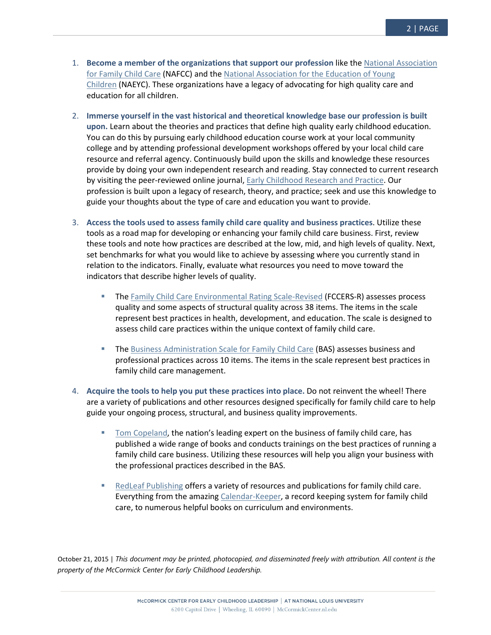- 1. **Become a member of the organizations that support our profession** like the [National Association](http://www.nafcc.org/)  [for Family Child Care](http://www.nafcc.org/) (NAFCC) and the [National Association for the Education of Young](http://www.naeyc.org/)  [Children](http://www.naeyc.org/) (NAEYC). These organizations have a legacy of advocating for high quality care and education for all children.
- 2. **Immerse yourself in the vast historical and theoretical knowledge base our profession is built upon.** Learn about the theories and practices that define high quality early childhood education. You can do this by pursuing early childhood education course work at your local community college and by attending professional development workshops offered by your local child care resource and referral agency. Continuously build upon the skills and knowledge these resources provide by doing your own independent research and reading. Stay connected to current research by visiting the peer-reviewed online journal, [Early Childhood Research and Practice.](http://ecrp.uiuc.edu/index.html) Our profession is built upon a legacy of research, theory, and practice; seek and use this knowledge to guide your thoughts about the type of care and education you want to provide.
- 3. **Access the tools used to assess family child care quality and business practices**. Utilize these tools as a road map for developing or enhancing your family child care business. First, review these tools and note how practices are described at the low, mid, and high levels of quality. Next, set benchmarks for what you would like to achieve by assessing where you currently stand in relation to the indicators. Finally, evaluate what resources you need to move toward the indicators that describe higher levels of quality.
	- **The [Family Child Care Environmental Rating Scale-Revised](http://ers.fpg.unc.edu/node/111) (FCCERS-R) assesses process** quality and some aspects of structural quality across 38 items. The items in the scale represent best practices in health, development, and education. The scale is designed to assess child care practices within the unique context of family child care.
	- **The [Business Administration Scale for Family Child Care](http://mccormickcenter.nl.edu/program-evaluation/business-administration-scale-bas/) (BAS) assesses business and** professional practices across 10 items. The items in the scale represent best practices in family child care management.
- 4. **Acquire the tools to help you put these practices into place.** Do not reinvent the wheel! There are a variety of publications and other resources designed specifically for family child care to help guide your ongoing process, structural, and business quality improvements.
	- [Tom Copeland,](http://tomcopelandblog.com/) the nation's leading expert on the business of family child care, has published a wide range of books and conducts trainings on the best practices of running a family child care business. Utilizing these resources will help you align your business with the professional practices described in the BAS.
	- [RedLeaf Publishing](http://www.redleafpress.org/) offers a variety of resources and publications for family child care. Everything from the amazing [Calendar-Keeper,](http://www.redleafpress.org/cw_Search.aspx?k=Calendar-Keeper) a record keeping system for family child care, to numerous helpful books on curriculum and environments.

October 21, 2015 | *This document may be printed, photocopied, and disseminated freely with attribution. All content is the property of the McCormick Center for Early Childhood Leadership.*